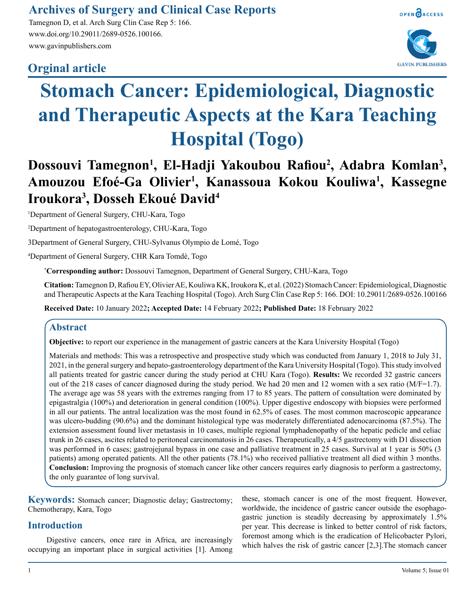# **Archives of Surgery and Clinical Case Reports**

Tamegnon D, et al. Arch Surg Clin Case Rep 5: 166. www.doi.org/10.29011/2689-0526.100166. www.gavinpublishers.com

# **Orginal article**





# **Stomach Cancer: Epidemiological, Diagnostic and Therapeutic Aspects at the Kara Teaching Hospital (Togo)**

# **Dossouvi Tamegnon1 , El-Hadji Yakoubou Rafiou<sup>2</sup> , Adabra Komlan3 ,** Amouzou Efoé-Ga Olivier<sup>1</sup>, Kanassoua Kokou Kouliwa<sup>1</sup>, Kassegne **Iroukora3 , Dosseh Ekoué David4**

1 Department of General Surgery, CHU-Kara, Togo

2 Department of hepatogastroenterology, CHU-Kara, Togo

3Department of General Surgery, CHU-Sylvanus Olympio de Lomé, Togo

4 Department of General Surgery, CHR Kara Tomdè, Togo

**\* Corresponding author:** Dossouvi Tamegnon, Department of General Surgery, CHU-Kara, Togo

**Citation:** Tamegnon D, Rafiou EY, Olivier AE, Kouliwa KK, Iroukora K, et al. (2022) Stomach Cancer: Epidemiological, Diagnostic and Therapeutic Aspects at the Kara Teaching Hospital (Togo). Arch Surg Clin Case Rep 5: 166. DOI: 10.29011/2689-0526.100166

**Received Date:** 10 January 2022**; Accepted Date:** 14 February 2022**; Published Date:** 18 February 2022

# **Abstract**

**Objective:** to report our experience in the management of gastric cancers at the Kara University Hospital (Togo)

Materials and methods: This was a retrospective and prospective study which was conducted from January 1, 2018 to July 31, 2021, in the general surgery and hepato-gastroenterology department of the Kara University Hospital (Togo). This study involved all patients treated for gastric cancer during the study period at CHU Kara (Togo). **Results:** We recorded 32 gastric cancers out of the 218 cases of cancer diagnosed during the study period. We had 20 men and 12 women with a sex ratio (M/F=1.7). The average age was 58 years with the extremes ranging from 17 to 85 years. The pattern of consultation were dominated by epigastralgia (100%) and deterioration in general condition (100%). Upper digestive endoscopy with biopsies were performed in all our patients. The antral localization was the most found in 62.5% of cases. The most common macroscopic appearance was ulcero-budding (90.6%) and the dominant histological type was moderately differentiated adenocarcinoma (87.5%). The extension assessment found liver metastasis in 10 cases, multiple regional lymphadenopathy of the hepatic pedicle and celiac trunk in 26 cases, ascites related to peritoneal carcinomatosis in 26 cases. Therapeutically, a 4/5 gastrectomy with D1 dissection was performed in 6 cases; gastrojejunal bypass in one case and palliative treatment in 25 cases. Survival at 1 year is 50% (3) patients) among operated patients. All the other patients (78.1%) who received palliative treatment all died within 3 months. **Conclusion:** Improving the prognosis of stomach cancer like other cancers requires early diagnosis to perform a gastrectomy, the only guarantee of long survival.

**Keywords:** Stomach cancer; Diagnostic delay; Gastrectomy; Chemotherapy, Kara, Togo

## **Introduction**

Digestive cancers, once rare in Africa, are increasingly occupying an important place in surgical activities [1]. Among

these, stomach cancer is one of the most frequent. However, worldwide, the incidence of gastric cancer outside the esophagogastric junction is steadily decreasing by approximately 1.5% per year. This decrease is linked to better control of risk factors, foremost among which is the eradication of Helicobacter Pylori, which halves the risk of gastric cancer [2,3].The stomach cancer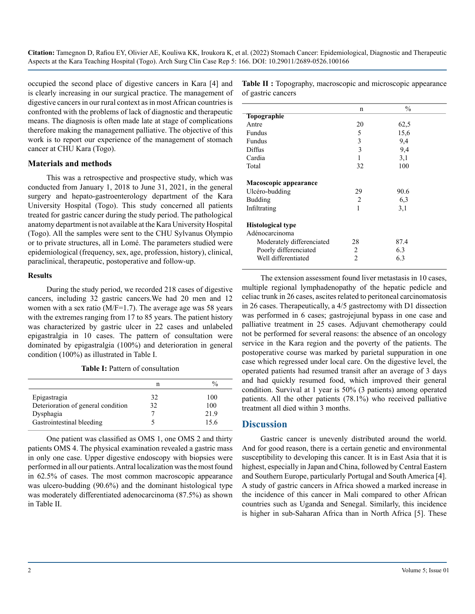**Citation:** Tamegnon D, Rafiou EY, Olivier AE, Kouliwa KK, Iroukora K, et al. (2022) Stomach Cancer: Epidemiological, Diagnostic and Therapeutic Aspects at the Kara Teaching Hospital (Togo). Arch Surg Clin Case Rep 5: 166. DOI: 10.29011/2689-0526.100166

occupied the second place of digestive cancers in Kara [4] and is clearly increasing in our surgical practice. The management of digestive cancers in our rural context as in most African countries is confronted with the problems of lack of diagnostic and therapeutic means. The diagnosis is often made late at stage of complications therefore making the management palliative. The objective of this work is to report our experience of the management of stomach cancer at CHU Kara (Togo).

#### **Materials and methods**

This was a retrospective and prospective study, which was conducted from January 1, 2018 to June 31, 2021, in the general surgery and hepato-gastroenterology department of the Kara University Hospital (Togo). This study concerned all patients treated for gastric cancer during the study period. The pathological anatomy department is not available at the Kara University Hospital (Togo). All the samples were sent to the CHU Sylvanus Olympio or to private structures, all in Lomé. The parameters studied were epidemiological (frequency, sex, age, profession, history), clinical, paraclinical, therapeutic, postoperative and follow-up.

#### **Results**

During the study period, we recorded 218 cases of digestive cancers, including 32 gastric cancers.We had 20 men and 12 women with a sex ratio (M/F=1.7). The average age was 58 years with the extremes ranging from 17 to 85 years. The patient history was characterized by gastric ulcer in 22 cases and unlabeled epigastralgia in 10 cases. The pattern of consultation were dominated by epigastralgia (100%) and deterioration in general condition (100%) as illustrated in Table I.

**Table I:** Pattern of consultation

|                                    | n  | $\frac{0}{0}$ |
|------------------------------------|----|---------------|
| Epigastragia                       | 32 | 100           |
| Deterioration of general condition | 32 | 100           |
| Dysphagia                          |    | 219           |
| Gastrointestinal bleeding          |    | 15.6          |

One patient was classified as OMS 1, one OMS 2 and thirty patients OMS 4. The physical examination revealed a gastric mass in only one case. Upper digestive endoscopy with biopsies were performed in all our patients. Antral localization was the most found in 62.5% of cases. The most common macroscopic appearance was ulcero-budding (90.6%) and the dominant histological type was moderately differentiated adenocarcinoma (87.5%) as shown in Table II.

**Table II :** Topography, macroscopic and microscopic appearance of gastric cancers

|                                            | n              | $\frac{0}{0}$ |  |
|--------------------------------------------|----------------|---------------|--|
| <b>Topographie</b>                         |                |               |  |
| Antre                                      | 20             | 62,5          |  |
| Fundus                                     | 5              | 15,6          |  |
| Fundus                                     | 3              | 9.4           |  |
| Diffus                                     | 3              | 9,4           |  |
| Cardia                                     | 1              | 3,1           |  |
| Total                                      | 32             | 100           |  |
| Macoscopic appearance                      |                |               |  |
| Ulcéro-budding                             | 29             | 90.6          |  |
| <b>Budding</b>                             | $\overline{2}$ | 6,3           |  |
| Infiltrating                               | 1              | 3,1           |  |
| <b>Histological type</b><br>Adénocarcinoma |                |               |  |
| Moderately differenciated                  | 28             | 87.4          |  |
| Poorly differenciated                      | 2              | 6.3           |  |
| Well differentiated                        | $\mathfrak{D}$ | 6.3           |  |
|                                            |                |               |  |

The extension assessment found liver metastasis in 10 cases, multiple regional lymphadenopathy of the hepatic pedicle and celiac trunk in 26 cases, ascites related to peritoneal carcinomatosis in 26 cases. Therapeutically, a 4/5 gastrectomy with D1 dissection was performed in 6 cases; gastrojejunal bypass in one case and palliative treatment in 25 cases. Adjuvant chemotherapy could not be performed for several reasons: the absence of an oncology service in the Kara region and the poverty of the patients. The postoperative course was marked by parietal suppuration in one case which regressed under local care. On the digestive level, the operated patients had resumed transit after an average of 3 days and had quickly resumed food, which improved their general condition. Survival at 1 year is 50% (3 patients) among operated patients. All the other patients (78.1%) who received palliative treatment all died within 3 months.

## **Discussion**

Gastric cancer is unevenly distributed around the world. And for good reason, there is a certain genetic and environmental susceptibility to developing this cancer. It is in East Asia that it is highest, especially in Japan and China, followed by Central Eastern and Southern Europe, particularly Portugal and South America [4]. A study of gastric cancers in Africa showed a marked increase in the incidence of this cancer in Mali compared to other African countries such as Uganda and Senegal. Similarly, this incidence is higher in sub-Saharan Africa than in North Africa [5]. These